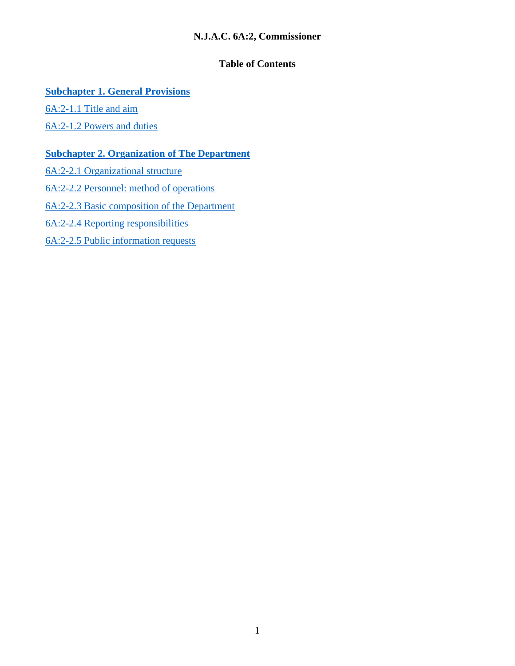# **N.J.A.C. 6A:2, Commissioner**

# **Table of Contents**

# **[Subchapter 1. General Provisions](#page-1-0)**

[6A:2-1.1 Title and aim](#page-1-1)

[6A:2-1.2 Powers and duties](#page-1-2)

# **[Subchapter 2. Organization of The Department](#page-2-0)**

[6A:2-2.1 Organizational structure](#page-2-1) [6A:2-2.2 Personnel: method of operations](#page-2-2) [6A:2-2.3 Basic composition of the Department](#page-3-0) [6A:2-2.4 Reporting responsibilities](#page-3-1) [6A:2-2.5 Public information requests](#page-6-0)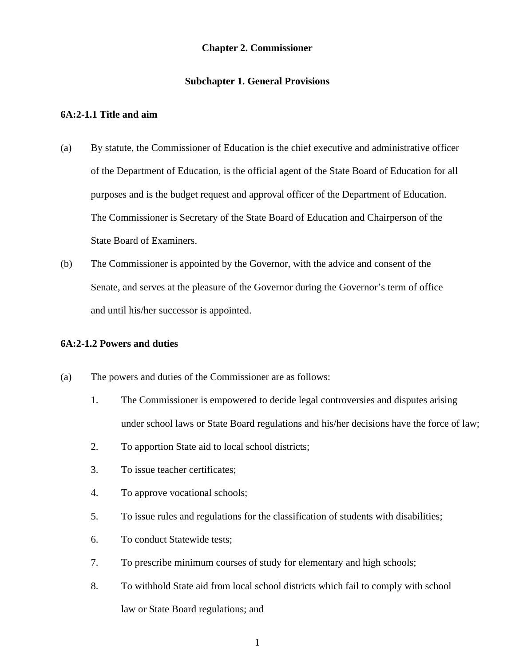## **Chapter 2. Commissioner**

## **Subchapter 1. General Provisions**

### <span id="page-1-1"></span><span id="page-1-0"></span>**6A:2-1.1 Title and aim**

- (a) By statute, the Commissioner of Education is the chief executive and administrative officer of the Department of Education, is the official agent of the State Board of Education for all purposes and is the budget request and approval officer of the Department of Education. The Commissioner is Secretary of the State Board of Education and Chairperson of the State Board of Examiners.
- (b) The Commissioner is appointed by the Governor, with the advice and consent of the Senate, and serves at the pleasure of the Governor during the Governor's term of office and until his/her successor is appointed.

## <span id="page-1-2"></span>**6A:2-1.2 Powers and duties**

- (a) The powers and duties of the Commissioner are as follows:
	- 1. The Commissioner is empowered to decide legal controversies and disputes arising under school laws or State Board regulations and his/her decisions have the force of law;
	- 2. To apportion State aid to local school districts;
	- 3. To issue teacher certificates;
	- 4. To approve vocational schools;
	- 5. To issue rules and regulations for the classification of students with disabilities;
	- 6. To conduct Statewide tests;
	- 7. To prescribe minimum courses of study for elementary and high schools;
	- 8. To withhold State aid from local school districts which fail to comply with school law or State Board regulations; and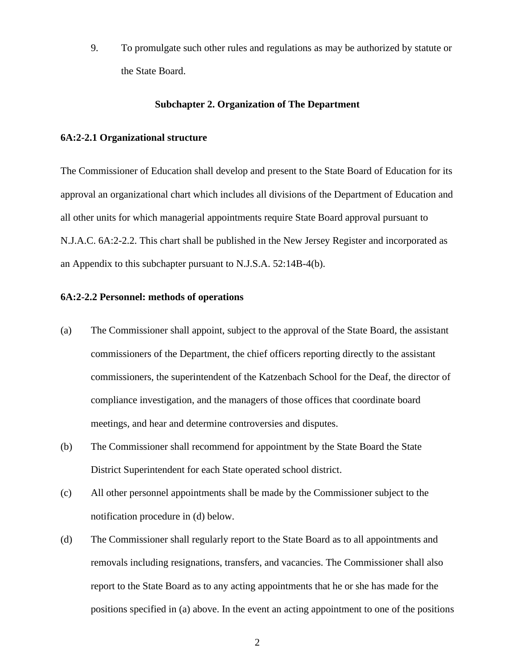9. To promulgate such other rules and regulations as may be authorized by statute or the State Board.

### **Subchapter 2. Organization of The Department**

#### <span id="page-2-1"></span><span id="page-2-0"></span>**6A:2-2.1 Organizational structure**

The Commissioner of Education shall develop and present to the State Board of Education for its approval an organizational chart which includes all divisions of the Department of Education and all other units for which managerial appointments require State Board approval pursuant to N.J.A.C. 6A:2-2.2. This chart shall be published in the New Jersey Register and incorporated as an Appendix to this subchapter pursuant to N.J.S.A. 52:14B-4(b).

# <span id="page-2-2"></span>**6A:2-2.2 Personnel: methods of operations**

- (a) The Commissioner shall appoint, subject to the approval of the State Board, the assistant commissioners of the Department, the chief officers reporting directly to the assistant commissioners, the superintendent of the Katzenbach School for the Deaf, the director of compliance investigation, and the managers of those offices that coordinate board meetings, and hear and determine controversies and disputes.
- (b) The Commissioner shall recommend for appointment by the State Board the State District Superintendent for each State operated school district.
- (c) All other personnel appointments shall be made by the Commissioner subject to the notification procedure in (d) below.
- (d) The Commissioner shall regularly report to the State Board as to all appointments and removals including resignations, transfers, and vacancies. The Commissioner shall also report to the State Board as to any acting appointments that he or she has made for the positions specified in (a) above. In the event an acting appointment to one of the positions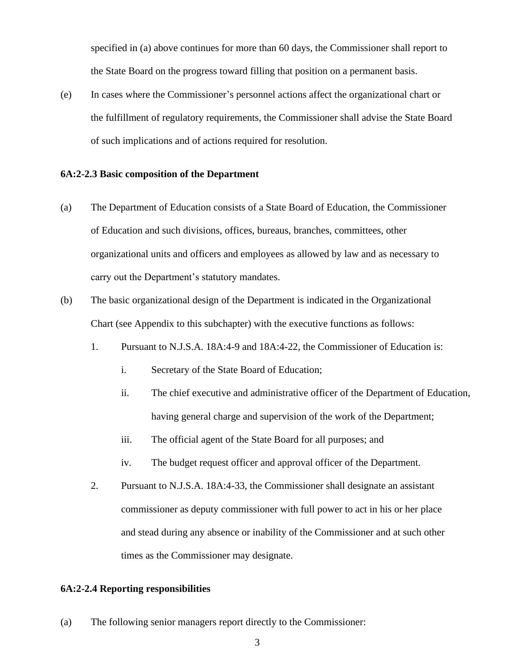specified in (a) above continues for more than 60 days, the Commissioner shall report to the State Board on the progress toward filling that position on a permanent basis.

(e) In cases where the Commissioner's personnel actions affect the organizational chart or the fulfillment of regulatory requirements, the Commissioner shall advise the State Board of such implications and of actions required for resolution.

### <span id="page-3-0"></span>**6A:2-2.3 Basic composition of the Department**

- (a) The Department of Education consists of a State Board of Education, the Commissioner of Education and such divisions, offices, bureaus, branches, committees, other organizational units and officers and employees as allowed by law and as necessary to carry out the Department's statutory mandates.
- (b) The basic organizational design of the Department is indicated in the Organizational Chart (see Appendix to this subchapter) with the executive functions as follows:
	- 1. Pursuant to N.J.S.A. 18A:4-9 and 18A:4-22, the Commissioner of Education is:
		- i. Secretary of the State Board of Education;
		- ii. The chief executive and administrative officer of the Department of Education, having general charge and supervision of the work of the Department;
		- iii. The official agent of the State Board for all purposes; and
		- iv. The budget request officer and approval officer of the Department.
	- 2. Pursuant to N.J.S.A. 18A:4-33, the Commissioner shall designate an assistant commissioner as deputy commissioner with full power to act in his or her place and stead during any absence or inability of the Commissioner and at such other times as the Commissioner may designate.

## <span id="page-3-1"></span>**6A:2-2.4 Reporting responsibilities**

(a) The following senior managers report directly to the Commissioner: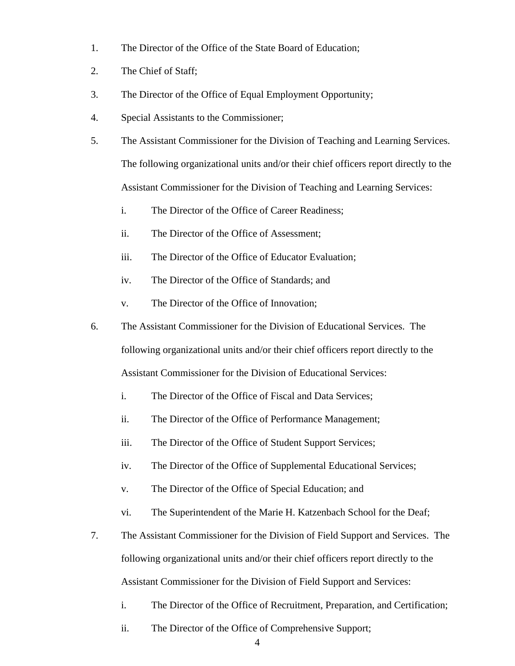- 1. The Director of the Office of the State Board of Education;
- 2. The Chief of Staff;
- 3. The Director of the Office of Equal Employment Opportunity;
- 4. Special Assistants to the Commissioner;
- 5. The Assistant Commissioner for the Division of Teaching and Learning Services. The following organizational units and/or their chief officers report directly to the Assistant Commissioner for the Division of Teaching and Learning Services:
	- i. The Director of the Office of Career Readiness;
	- ii. The Director of the Office of Assessment;
	- iii. The Director of the Office of Educator Evaluation;
	- iv. The Director of the Office of Standards; and
	- v. The Director of the Office of Innovation;
- 6. The Assistant Commissioner for the Division of Educational Services. The following organizational units and/or their chief officers report directly to the Assistant Commissioner for the Division of Educational Services:
	- i. The Director of the Office of Fiscal and Data Services;
	- ii. The Director of the Office of Performance Management;
	- iii. The Director of the Office of Student Support Services;
	- iv. The Director of the Office of Supplemental Educational Services;
	- v. The Director of the Office of Special Education; and
	- vi. The Superintendent of the Marie H. Katzenbach School for the Deaf;
- 7. The Assistant Commissioner for the Division of Field Support and Services. The following organizational units and/or their chief officers report directly to the Assistant Commissioner for the Division of Field Support and Services:
	- i. The Director of the Office of Recruitment, Preparation, and Certification;
	- ii. The Director of the Office of Comprehensive Support;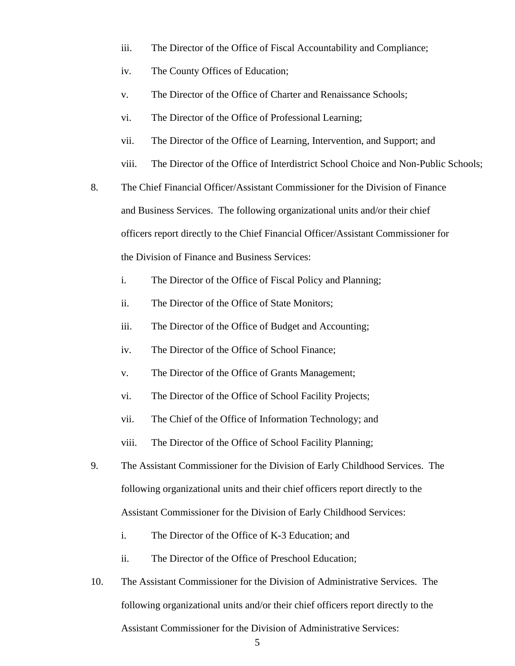- iii. The Director of the Office of Fiscal Accountability and Compliance;
- iv. The County Offices of Education;
- v. The Director of the Office of Charter and Renaissance Schools;
- vi. The Director of the Office of Professional Learning;
- vii. The Director of the Office of Learning, Intervention, and Support; and
- viii. The Director of the Office of Interdistrict School Choice and Non-Public Schools;
- 8. The Chief Financial Officer/Assistant Commissioner for the Division of Finance and Business Services. The following organizational units and/or their chief officers report directly to the Chief Financial Officer/Assistant Commissioner for the Division of Finance and Business Services:
	- i. The Director of the Office of Fiscal Policy and Planning;
	- ii. The Director of the Office of State Monitors;
	- iii. The Director of the Office of Budget and Accounting;
	- iv. The Director of the Office of School Finance;
	- v. The Director of the Office of Grants Management;
	- vi. The Director of the Office of School Facility Projects;
	- vii. The Chief of the Office of Information Technology; and
	- viii. The Director of the Office of School Facility Planning;
- 9. The Assistant Commissioner for the Division of Early Childhood Services. The following organizational units and their chief officers report directly to the Assistant Commissioner for the Division of Early Childhood Services:
	- i. The Director of the Office of K-3 Education; and
	- ii. The Director of the Office of Preschool Education;
- 10. The Assistant Commissioner for the Division of Administrative Services. The following organizational units and/or their chief officers report directly to the Assistant Commissioner for the Division of Administrative Services: